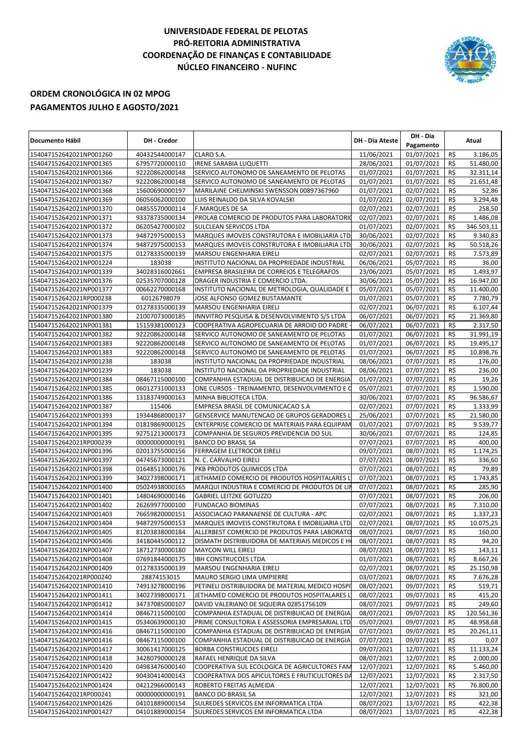## **UNIVERSIDADE FEDERAL DE PELOTAS PRÓ-REITORIA ADMINISTRATIVA COORDENAÇÃO DE FINANÇAS E CONTABILIDADE NÚCLEO FINANCEIRO - NUFINC**



## **ORDEM CRONOLÓGICA IN 02 MPOG PAGAMENTOS JULHO E AGOSTO/2021**

| Documento Hábil                                    | <b>DH</b> - Credor               |                                                                                               | <b>DH - Dia Ateste</b>   | DH - Dia<br>Pagamento    |            | Atual            |
|----------------------------------------------------|----------------------------------|-----------------------------------------------------------------------------------------------|--------------------------|--------------------------|------------|------------------|
| 154047152642021NP001260                            | 40432544000147                   | CLARO S.A.                                                                                    | 11/06/2021               | 01/07/2021               | R\$        | 3.186,05         |
| 154047152642021NP001365                            | 67957720000110                   | <b>IRENE SARABIA LUQUETTI</b>                                                                 | 28/06/2021               | 01/07/2021               | R\$        | 51.480,00        |
| 154047152642021NP001366                            | 92220862000148                   | SERVICO AUTONOMO DE SANEAMENTO DE PELOTAS                                                     | 01/07/2021               | 01/07/2021               | R\$        | 32.311,14        |
| 154047152642021NP001367                            | 92220862000148                   | SERVICO AUTONOMO DE SANEAMENTO DE PELOTAS                                                     | 01/07/2021               | 01/07/2021               | R\$        | 21.651,48        |
| 154047152642021NP001368                            | 15600690000197                   | MARILAINE CHELMINSKI SWENSSON 00897367960                                                     | 01/07/2021               | 02/07/2021               | R\$        | 52,86            |
| 154047152642021NP001369                            | 06056062000100                   | LUIS REINALDO DA SILVA KOVALSKI                                                               | 01/07/2021               | 02/07/2021               | R\$        | 3.294,48         |
| 154047152642021NP001370                            | 04855570000114                   | <b>F.MARQUES DE SA</b>                                                                        | 02/07/2021               | 02/07/2021               | R\$        | 258,50           |
| 154047152642021NP001371                            | 93378735000134                   | PROLAB COMERCIO DE PRODUTOS PARA LABORATORIO                                                  | 02/07/2021               | 02/07/2021               | R\$        | 1.486,08         |
| 154047152642021NP001372                            | 06205427000102                   | <b>SULCLEAN SERVICOS LTDA</b>                                                                 | 01/07/2021               | 02/07/2021               | R\$        | 346.503,11       |
| 154047152642021NP001373                            | 94872975000153                   | MARQUES IMOVEIS CONSTRUTORA E IMOBILIARIA LTD.                                                | 30/06/2021               | 02/07/2021               | R\$        | 9.340,83         |
| 154047152642021NP001374                            | 94872975000153                   | MARQUES IMOVEIS CONSTRUTORA E IMOBILIARIA LTD.                                                | 30/06/2021               | 02/07/2021               | R\$        | 50.518,26        |
| 154047152642021NP001375                            | 01278335000139                   | <b>MARSOU ENGENHARIA EIRELI</b>                                                               | 02/07/2021               | 02/07/2021               | R\$        | 7.573,89         |
| 154047152642021NP001224                            | 183038                           | INSTITUTO NACIONAL DA PROPRIEDADE INDUSTRIAL                                                  | 06/06/2021               | 05/07/2021               | R\$        | 36,00            |
| 154047152642021NP001339                            | 34028316002661                   | EMPRESA BRASILEIRA DE CORREIOS E TELEGRAFOS                                                   | 23/06/2021               | 05/07/2021               | R\$        | 1.493,97         |
| 154047152642021NP001376                            | 02535707000128                   | DRAGER INDUSTRIA E COMERCIO LTDA.                                                             | 30/06/2021               | 05/07/2021               | R\$        | 16.947,00        |
| 154047152642021NP001377                            | 00662270000168                   | INSTITUTO NACIONAL DE METROLOGIA, QUALIDADE E                                                 | 05/07/2021               | 05/07/2021               | R\$        | 11.400,00        |
| 154047152642021RP000238                            | 60126798079                      | JOSE ALFONSO GOMEZ BUSTAMANTE                                                                 | 01/07/2021               | 05/07/2021               | R\$        | 7.780,79         |
| 154047152642021NP001379                            | 01278335000139                   | <b>MARSOU ENGENHARIA EIRELI</b>                                                               | 02/07/2021               | 06/07/2021               | R\$        | 6.107,44         |
| 154047152642021NP001380                            | 21007073000185                   | INNVITRO PESQUISA & DESENVOLVIMENTO S/S LTDA                                                  | 06/07/2021               | 06/07/2021               | R\$        | 21.369,80        |
| 154047152642021NP001381                            | 15159381000123<br>92220862000148 | COOPERATIVA AGROPECUARIA DE ARROIO DO PADRE                                                   | 06/07/2021<br>01/07/2021 | 06/07/2021<br>06/07/2021 | R\$<br>R\$ | 2.317,50         |
| 154047152642021NP001382                            |                                  | SERVICO AUTONOMO DE SANEAMENTO DE PELOTAS                                                     |                          |                          |            | 31.991,19        |
| 154047152642021NP001383                            | 92220862000148                   | SERVICO AUTONOMO DE SANEAMENTO DE PELOTAS                                                     | 01/07/2021               | 06/07/2021<br>06/07/2021 | R\$<br>R\$ | 19.495,17        |
| 154047152642021NP001383                            | 92220862000148                   | SERVICO AUTONOMO DE SANEAMENTO DE PELOTAS                                                     | 01/07/2021               |                          | R\$        | 10.898,76        |
| 154047152642021NP001238<br>154047152642021NP001239 | 183038<br>183038                 | INSTITUTO NACIONAL DA PROPRIEDADE INDUSTRIAL                                                  | 08/06/2021<br>08/06/2021 | 07/07/2021<br>07/07/2021 | R\$        | 176,00<br>236,00 |
| 154047152642021NP001384                            | 08467115000100                   | INSTITUTO NACIONAL DA PROPRIEDADE INDUSTRIAL<br>COMPANHIA ESTADUAL DE DISTRIBUICAO DE ENERGIA | 01/07/2021               | 07/07/2021               | R\$        | 19,26            |
| 154047152642021NP001385                            | 06012731000133                   | ONE CURSOS - TREINAMENTO, DESENVOLVIMENTO E O                                                 | 05/07/2021               | 07/07/2021               | R\$        | 1.590,00         |
| 154047152642021NP001386                            | 13183749000163                   | MINHA BIBLIOTECA LTDA.                                                                        | 30/06/2021               | 07/07/2021               | R\$        | 96.586,67        |
| 154047152642021NP001387                            | 115406                           | EMPRESA BRASIL DE COMUNICACAO S.A                                                             | 02/07/2021               | 07/07/2021               | R\$        | 1.333,99         |
| 154047152642021NP001393                            | 19344868000137                   | GENSERVICE MANUTENCAO DE GRUPOS GERADORES L                                                   | 25/06/2021               | 07/07/2021               | R\$        | 21.580,00        |
| 154047152642021NP001394                            | 01819869000125                   | ENTERPRISE COMERCIO DE MATERIAIS PARA EQUIPAM                                                 | 01/07/2021               | 07/07/2021               | R\$        | 9.539,77         |
| 154047152642021NP001395                            | 92751213000173                   | COMPANHIA DE SEGUROS PREVIDENCIA DO SUL                                                       | 30/06/2021               | 07/07/2021               | R\$        | 124,85           |
| 154047152642021RP000239                            | 00000000000191                   | <b>BANCO DO BRASIL SA</b>                                                                     | 07/07/2021               | 07/07/2021               | R\$        | 400,00           |
| 154047152642021NP001396                            | 02013755000156                   | FERRAGEM ELETROCOR EIRELI                                                                     | 09/07/2021               | 08/07/2021               | R\$        | 1.174,25         |
| 154047152642021NP001397                            | 04745673000121                   | N. C. CARVALHO EIRELI                                                                         | 07/07/2021               | 08/07/2021               | R\$        | 336,60           |
| 154047152642021NP001398                            | 01648513000176                   | PKB PRODUTOS QUIMICOS LTDA                                                                    | 07/07/2021               | 08/07/2021               | R\$        | 79,89            |
| 154047152642021NP001399                            | 34027398000171                   | JETHAMED COMERCIO DE PRODUTOS HOSPITALARES L                                                  | 07/07/2021               | 08/07/2021               | R\$        | 1.743,85         |
| 154047152642021NP001400                            | 05024938000165                   | MARQUI INDUSTRIA E COMERCIO DE PRODUTOS DE LIN                                                | 07/07/2021               | 08/07/2021               | R\$        | 285,90           |
| 154047152642021NP001401                            | 14804690000146                   | <b>GABRIEL LEITZKE GOTUZZO</b>                                                                | $\frac{0}{7}$ /07/2021   | 08/07/2021               | R\$        | 206,00           |
| 154047152642021NP001402                            | 26269977000100                   | <b>FUNDACAO BIOMINAS</b>                                                                      | 07/07/2021               | 08/07/2021               | R\$        | 7.310,00         |
| 154047152642021NP001403                            | 76659820000151                   | ASSOCIACAO PARANAENSE DE CULTURA - APC                                                        | 02/07/2021               | 08/07/2021               | R\$        | 1.337,23         |
| 154047152642021NP001404                            | 94872975000153                   | MARQUES IMOVEIS CONSTRUTORA E IMOBILIARIA LTD.                                                | 02/07/2021               | 08/07/2021               | R\$        | 10.075,25        |
| 154047152642021NP001405                            | 81203838000184                   | ALLERBEST COMERCIO DE PRODUTOS PARA LABORATO                                                  | 08/07/2021               | 08/07/2021               | R\$        | 160,00           |
| 154047152642021NP001406                            | 34180445000112                   | DISMATH DISTRIBUIDORA DE MATERIAIS MEDICOS E HI                                               | 08/07/2021               | 08/07/2021               | R\$        | 94,20            |
| 154047152642021NP001407                            | 18712730000180                   | <b>MAYCON WILL EIRELI</b>                                                                     | 08/07/2021               | 08/07/2021               | R\$        | 143,11           |
| 154047152642021NP001408                            | 07691844000175                   | <b>IBH CONSTRUCOES LTDA</b>                                                                   | 01/07/2021               | 08/07/2021               | R\$        | 8.667,26         |
| 154047152642021NP001409                            | 01278335000139                   | MARSOU ENGENHARIA EIRELI                                                                      | 02/07/2021               | 08/07/2021               | R\$        | 25.150,98        |
| 154047152642021RP000240                            | 28874153015                      | MAURO SERGIO LIMA UMPIERRE                                                                    | 03/07/2021               | 08/07/2021               | R\$        | 7.676,28         |
| 154047152642021NP001410                            | 74913278000196                   | PETINELI DISTRIBUIDORA DE MATERIAL MEDICO HOSPI                                               | 08/07/2021               | 09/07/2021               | R\$        | 519,71           |
| 154047152642021NP001411                            | 34027398000171                   | JETHAMED COMERCIO DE PRODUTOS HOSPITALARES L                                                  | 08/07/2021               | 09/07/2021               | R\$        | 415,20           |
| 154047152642021NP001412                            | 34737085000107                   | DAVID VALERIANO DE SIQUEIRA 02851756109                                                       | 08/07/2021               | 09/07/2021               | R\$        | 249,60           |
| 154047152642021NP001414                            | 08467115000100                   | COMPANHIA ESTADUAL DE DISTRIBUICAO DE ENERGIA                                                 | 08/07/2021               | 09/07/2021               | R\$        | 120.561,36       |
| 154047152642021NP001415                            | 05340639000130                   | PRIME CONSULTORIA E ASSESSORIA EMPRESARIAL LTD.                                               | 05/07/2021               | 09/07/2021               | R\$        | 48.958,68        |
| 154047152642021NP001416                            | 08467115000100                   | COMPANHIA ESTADUAL DE DISTRIBUICAO DE ENERGIA                                                 | 07/07/2021               | 09/07/2021               | R\$        | 20.261,11        |
| 154047152642021NP001416                            | 08467115000100                   | COMPANHIA ESTADUAL DE DISTRIBUICAO DE ENERGIA                                                 | 07/07/2021               | 09/07/2021               | R\$        | 0,07             |
| 154047152642021NP001417                            | 30061417000125                   | BORBA CONSTRUCOES EIRELI                                                                      | 09/07/2021               | 12/07/2021               | R\$        | 11.133,24        |
| 154047152642021NP001418                            | 34280790000128                   | RAFAEL HENRIQUE DA SILVA                                                                      | 08/07/2021               | 12/07/2021               | R\$        | 2.000,00         |
| 154047152642021NP001420                            | 04983476000140                   | COOPERATIVA SUL ECOLOGICA DE AGRICULTORES FAM                                                 | 12/07/2021               | 12/07/2021               | R\$        | 5.460,00         |
| 154047152642021NP001422                            | 90430414000143                   | COOPERATIVA DOS APICULTORES E FRUTICULTORES DA                                                | 12/07/2021               | 12/07/2021               | R\$        | 2.317,50         |
| 154047152642021NP001424<br>154047152642021RP000241 | 04212966000143<br>00000000000191 | ROBERTO FREITAS ALMEIDA<br><b>BANCO DO BRASIL SA</b>                                          | 12/07/2021<br>12/07/2021 | 12/07/2021<br>12/07/2021 | R\$<br>R\$ | 76.800,00        |
| 154047152642021NP001426                            | 04101889000154                   | SULREDES SERVICOS EM INFORMATICA LTDA                                                         | 08/07/2021               | 13/07/2021               | R\$        | 321,00<br>422,38 |
| 154047152642021NP001427                            | 04101889000154                   | SULREDES SERVICOS EM INFORMATICA LTDA                                                         | 08/07/2021               | 13/07/2021               | R\$        | 422,38           |
|                                                    |                                  |                                                                                               |                          |                          |            |                  |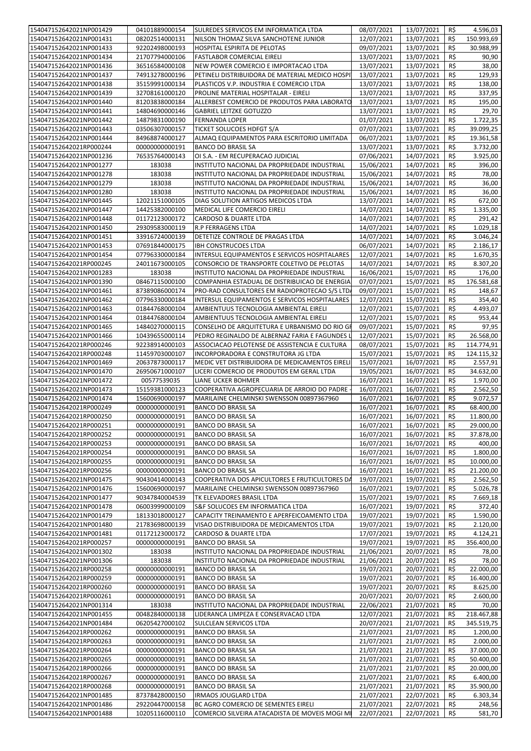|                         | 04101889000154 | SULREDES SERVICOS EM INFORMATICA LTDA           | 08/07/2021 | 13/07/2021     | R\$ | 4.596,03   |
|-------------------------|----------------|-------------------------------------------------|------------|----------------|-----|------------|
| 154047152642021NP001429 |                |                                                 |            |                |     |            |
| 154047152642021NP001431 | 08202514000131 | NILSON THOMAZ SILVA SANCHOTENE JUNIOR           | 12/07/2021 | 13/07/2021     | R\$ | 150.993,69 |
| 154047152642021NP001433 | 92202498000193 | HOSPITAL ESPIRITA DE PELOTAS                    | 09/07/2021 | 13/07/2021     | R\$ | 30.988,99  |
| 154047152642021NP001434 | 21707794000106 | <b>FASTLABOR COMERCIAL EIRELI</b>               | 13/07/2021 | 13/07/2021     | R\$ | 90,90      |
|                         |                |                                                 |            |                |     |            |
| 154047152642021NP001436 | 36516584000108 | NEW POWER COMERCIO E IMPORTACAO LTDA            | 13/07/2021 | 13/07/2021     | R\$ | 38,00      |
| 154047152642021NP001437 | 74913278000196 | PETINELI DISTRIBUIDORA DE MATERIAL MEDICO HOSPI | 13/07/2021 | 13/07/2021     | R\$ | 129,93     |
| 154047152642021NP001438 | 35159991000134 | PLASTICOS V.P. INDUSTRIA E COMERCIO LTDA        | 13/07/2021 | 13/07/2021     | R\$ | 138,00     |
| 154047152642021NP001439 | 32708161000120 | PROLINE MATERIAL HOSPITALAR - EIRELI            | 13/07/2021 | 13/07/2021     | R\$ | 337,95     |
|                         |                |                                                 |            |                |     |            |
| 154047152642021NP001440 | 81203838000184 | ALLERBEST COMERCIO DE PRODUTOS PARA LABORATO    | 13/07/2021 | 13/07/2021     | R\$ | 195,00     |
| 154047152642021NP001441 | 14804690000146 | <b>GABRIEL LEITZKE GOTUZZO</b>                  | 13/07/2021 | 13/07/2021     | R\$ | 29,70      |
| 154047152642021NP001442 | 14879831000190 | <b>FERNANDA LOPER</b>                           | 01/07/2021 | 13/07/2021     | R\$ | 1.722,35   |
|                         |                |                                                 |            |                |     |            |
| 154047152642021NP001443 | 03506307000157 | <b>TICKET SOLUCOES HDFGT S/A</b>                | 07/07/2021 | 13/07/2021     | R\$ | 39.099,25  |
| 154047152642021NP001444 | 84968874000127 | ALMAQ EQUIPAMENTOS PARA ESCRITORIO LIMITADA     | 06/07/2021 | 13/07/2021     | R\$ | 19.361,58  |
| 154047152642021RP000244 | 00000000000191 | <b>BANCO DO BRASIL SA</b>                       | 13/07/2021 | 13/07/2021     | R\$ | 3.732,00   |
| 154047152642021NP001236 | 76535764000143 | OI S.A. - EM RECUPERACAO JUDICIAL               | 07/06/2021 | 14/07/2021     | R\$ | 3.925,00   |
|                         |                |                                                 |            |                |     |            |
| 154047152642021NP001277 | 183038         | INSTITUTO NACIONAL DA PROPRIEDADE INDUSTRIAL    | 15/06/2021 | 14/07/2021     | R\$ | 396,00     |
| 154047152642021NP001278 | 183038         | INSTITUTO NACIONAL DA PROPRIEDADE INDUSTRIAL    | 15/06/2021 | 14/07/2021     | R\$ | 78,00      |
| 154047152642021NP001279 | 183038         | INSTITUTO NACIONAL DA PROPRIEDADE INDUSTRIAL    | 15/06/2021 | 14/07/2021     | R\$ | 36,00      |
|                         |                |                                                 |            |                |     |            |
| 154047152642021NP001280 | 183038         | INSTITUTO NACIONAL DA PROPRIEDADE INDUSTRIAL    | 15/06/2021 | 14/07/2021     | R\$ | 36,00      |
| 154047152642021NP001445 | 12021151000105 | DIAG SOLUTION ARTIGOS MEDICOS LTDA              | 13/07/2021 | 14/07/2021     | R\$ | 672,00     |
| 154047152642021NP001447 | 14425382000100 | MEDICAL LIFE COMERCIO EIRELI                    | 14/07/2021 | 14/07/2021     | R\$ | 1.335,00   |
|                         |                |                                                 |            |                |     |            |
| 154047152642021NP001448 | 01172123000172 | <b>CARDOSO &amp; DUARTE LTDA</b>                | 14/07/2021 | 14/07/2021     | R\$ | 291,42     |
| 154047152642021NP001450 | 29309583000119 | R.P FERRAGENS LTDA                              | 14/07/2021 | 14/07/2021     | R\$ | 1.029,18   |
| 154047152642021NP001451 | 33916724000139 | DETETIZE CONTROLE DE PRAGAS LTDA                | 14/07/2021 | 14/07/2021     | R\$ | 3.046,24   |
| 154047152642021NP001453 | 07691844000175 | <b>IBH CONSTRUCOES LTDA</b>                     | 06/07/2021 | 14/07/2021     | R\$ | 2.186,17   |
|                         |                |                                                 |            |                |     |            |
| 154047152642021NP001454 | 07796330000184 | INTERSUL EQUIPAMENTOS E SERVICOS HOSPITALARES   | 12/07/2021 | 14/07/2021     | R\$ | 1.670,35   |
| 154047152642021RP000245 | 24011673000105 | CONSORCIO DE TRANSPORTE COLETIVO DE PELOTAS     | 14/07/2021 | 14/07/2021     | R\$ | 8.307,20   |
| 154047152642021NP001283 | 183038         | INSTITUTO NACIONAL DA PROPRIEDADE INDUSTRIAL    | 16/06/2021 | 15/07/2021     | R\$ | 176,00     |
|                         |                |                                                 |            |                |     |            |
| 154047152642021NP001390 | 08467115000100 | COMPANHIA ESTADUAL DE DISTRIBUICAO DE ENERGIA   | 07/07/2021 | 15/07/2021     | R\$ | 176.581,68 |
| 154047152642021NP001461 | 87389086000174 | PRO-RAD CONSULTORES EM RADIOPROTECAO S/S LTD/   | 09/07/2021 | 15/07/2021     | R\$ | 148,67     |
| 154047152642021NP001462 | 07796330000184 | INTERSUL EQUIPAMENTOS E SERVICOS HOSPITALARES   | 12/07/2021 | 15/07/2021     | R\$ | 354,40     |
|                         |                |                                                 |            |                |     |            |
| 154047152642021NP001463 | 01844768000104 | AMBIENTUUS TECNOLOGIA AMBIENTAL EIRELI          | 12/07/2021 | 15/07/2021     | R\$ | 4.493,07   |
| 154047152642021NP001464 | 01844768000104 | AMBIENTUUS TECNOLOGIA AMBIENTAL EIRELI          | 12/07/2021 | 15/07/2021     | R\$ | 953,44     |
| 154047152642021NP001465 | 14840270000115 | CONSELHO DE ARQUITETURA E URBANISMO DO RIO GF   | 09/07/2021 | 15/07/2021     | R\$ | 97,95      |
| 154047152642021NP001466 | 10439655000114 | PEDRO REGINALDO DE ALBERNAZ FARIA E FAGUNDES L  | 12/07/2021 | 15/07/2021     | R\$ | 26.568,00  |
|                         |                |                                                 |            |                |     |            |
| 154047152642021RP000246 | 92238914000103 | ASSOCIACAO PELOTENSE DE ASSISTENCIA E CULTURA   | 08/07/2021 | 15/07/2021     | R\$ | 114.774,91 |
| 154047152642021RP000248 | 11459703000107 | INCORPORADORA E CONSTRUTORA JG LTDA             | 15/07/2021 | 15/07/2021     | R\$ | 124.115,32 |
| 154047152642021NP001469 | 20637873000117 | MEDIC VET DISTRIBUIDORA DE MEDICAMENTOS EIRELI  | 15/07/2021 | 16/07/2021     | R\$ | 2.557,91   |
|                         |                |                                                 |            |                |     |            |
| 154047152642021NP001470 | 26950671000107 | LICERI COMERCIO DE PRODUTOS EM GERAL LTDA       | 19/05/2021 | 16/07/2021     | R\$ | 34.632,00  |
| 154047152642021NP001472 | 00577539035    | <b>LIANE UCKER BOHMER</b>                       | 16/07/2021 | 16/07/2021     | R\$ | 1.970,00   |
| 154047152642021NP001473 | 15159381000123 | COOPERATIVA AGROPECUARIA DE ARROIO DO PADRE -   | 16/07/2021 | 16/07/2021     | R\$ | 2.562,50   |
|                         |                |                                                 |            |                |     | 9.072,57   |
|                         |                |                                                 |            |                |     |            |
| 154047152642021NP001474 | 15600690000197 | MARILAINE CHELMINSKI SWENSSON 00897367960       | 16/07/2021 | 16/07/2021     | R\$ |            |
| 154047152642021RP000249 | 00000000000191 | <b>BANCO DO BRASIL SA</b>                       | 16/07/2021 | 16/07/2021     | R\$ | 68.400,00  |
| 154047152642021RP000250 | 00000000000191 | <b>BANCO DO BRASIL SA</b>                       | 16/07/2021 | 16/07/2021     | R\$ | 11.800,00  |
|                         |                |                                                 |            |                |     |            |
| 154047152642021RP000251 | 00000000000191 | <b>BANCO DO BRASIL SA</b>                       | 16/07/2021 | 16/07/2021 R\$ |     | 29.000,00  |
| 154047152642021RP000252 | 00000000000191 | <b>BANCO DO BRASIL SA</b>                       | 16/07/2021 | 16/07/2021     | R\$ | 37.878,00  |
| 154047152642021RP000253 | 00000000000191 | <b>BANCO DO BRASIL SA</b>                       | 16/07/2021 | 16/07/2021     | R\$ | 400,00     |
|                         |                |                                                 |            |                |     |            |
| 154047152642021RP000254 | 00000000000191 | <b>BANCO DO BRASIL SA</b>                       | 16/07/2021 | 16/07/2021     | R\$ | 1.800,00   |
| 154047152642021RP000255 | 00000000000191 | <b>BANCO DO BRASIL SA</b>                       | 16/07/2021 | 16/07/2021     | R\$ | 10.000,00  |
| 154047152642021RP000256 | 00000000000191 | <b>BANCO DO BRASIL SA</b>                       | 16/07/2021 | 16/07/2021     | R\$ | 21.200,00  |
| 154047152642021NP001475 | 90430414000143 | COOPERATIVA DOS APICULTORES E FRUTICULTORES DA  | 19/07/2021 | 19/07/2021     | R\$ | 2.562,50   |
|                         |                |                                                 |            |                |     |            |
| 154047152642021NP001476 | 15600690000197 | MARILAINE CHELMINSKI SWENSSON 00897367960       | 16/07/2021 | 19/07/2021     | R\$ | 5.026,78   |
| 154047152642021NP001477 | 90347840004539 | TK ELEVADORES BRASIL LTDA                       | 15/07/2021 | 19/07/2021     | R\$ | 7.669,18   |
| 154047152642021NP001478 | 06003999000109 | S&F SOLUCOES EM INFORMATICA LTDA                | 16/07/2021 | 19/07/2021     | R\$ | 372,40     |
| 154047152642021NP001479 | 18133018000127 | CAPACITY TREINAMENTO E APERFEICOAMENTO LTDA     | 19/07/2021 | 19/07/2021     | R\$ | 1.590,00   |
|                         |                |                                                 |            |                |     |            |
| 154047152642021NP001480 | 21783698000139 | VISAO DISTRIBUIDORA DE MEDICAMENTOS LTDA        | 19/07/2021 | 19/07/2021     | R\$ | 2.120,00   |
| 154047152642021NP001481 | 01172123000172 | CARDOSO & DUARTE LTDA                           | 17/07/2021 | 19/07/2021     | R\$ | 4.124,21   |
| 154047152642021RP000257 | 00000000000191 | <b>BANCO DO BRASIL SA</b>                       | 19/07/2021 | 19/07/2021     | R\$ | 356.400,00 |
|                         |                |                                                 |            |                |     |            |
| 154047152642021NP001302 | 183038         | INSTITUTO NACIONAL DA PROPRIEDADE INDUSTRIAL    | 21/06/2021 | 20/07/2021     | R\$ | 78,00      |
| 154047152642021NP001306 | 183038         | INSTITUTO NACIONAL DA PROPRIEDADE INDUSTRIAL    | 21/06/2021 | 20/07/2021     | R\$ | 78,00      |
| 154047152642021RP000258 | 00000000000191 | <b>BANCO DO BRASIL SA</b>                       | 19/07/2021 | 20/07/2021     | R\$ | 22.000,00  |
| 154047152642021RP000259 | 00000000000191 | <b>BANCO DO BRASIL SA</b>                       | 19/07/2021 | 20/07/2021     | R\$ | 16.400,00  |
|                         |                |                                                 |            |                |     |            |
| 154047152642021RP000260 | 00000000000191 | <b>BANCO DO BRASIL SA</b>                       | 19/07/2021 | 20/07/2021     | R\$ | 8.625,00   |
| 154047152642021RP000261 | 00000000000191 | <b>BANCO DO BRASIL SA</b>                       | 20/07/2021 | 20/07/2021     | R\$ | 2.600,00   |
| 154047152642021NP001314 | 183038         | INSTITUTO NACIONAL DA PROPRIEDADE INDUSTRIAL    | 22/06/2021 | 21/07/2021     | R\$ | 70,00      |
| 154047152642021NP001455 | 00482840000138 | LIDERANCA LIMPEZA E CONSERVACAO LTDA            | 12/07/2021 | 21/07/2021     | R\$ |            |
|                         |                |                                                 |            |                |     | 218.467,88 |
| 154047152642021NP001484 | 06205427000102 | SULCLEAN SERVICOS LTDA                          | 20/07/2021 | 21/07/2021     | R\$ | 345.519,75 |
| 154047152642021RP000262 | 00000000000191 | <b>BANCO DO BRASIL SA</b>                       | 21/07/2021 | 21/07/2021     | R\$ | 1.200,00   |
| 154047152642021RP000263 | 00000000000191 | <b>BANCO DO BRASIL SA</b>                       | 21/07/2021 | 21/07/2021     | R\$ | 2.000,00   |
|                         |                |                                                 |            |                |     |            |
| 154047152642021RP000264 | 00000000000191 | <b>BANCO DO BRASIL SA</b>                       | 21/07/2021 | 21/07/2021     | R\$ | 37.000,00  |
| 154047152642021RP000265 | 00000000000191 | <b>BANCO DO BRASIL SA</b>                       | 21/07/2021 | 21/07/2021     | R\$ | 50.400,00  |
| 154047152642021RP000266 | 00000000000191 | <b>BANCO DO BRASIL SA</b>                       | 21/07/2021 | 21/07/2021     | R\$ | 20.000,00  |
|                         |                |                                                 |            |                |     |            |
| 154047152642021RP000267 | 00000000000191 | <b>BANCO DO BRASIL SA</b>                       | 21/07/2021 | 21/07/2021     | R\$ | 6.400,00   |
| 154047152642021RP000268 | 00000000000191 | <b>BANCO DO BRASIL SA</b>                       | 21/07/2021 | 21/07/2021     | R\$ | 35.900,00  |
| 154047152642021NP001485 | 87378428000150 | <b>IRMAOS JOUGLARD LTDA</b>                     | 21/07/2021 | 22/07/2021     | R\$ | 6.303,34   |
| 154047152642021NP001486 | 29220447000158 | BC AGRO COMERCIO DE SEMENTES EIRELI             | 21/07/2021 | 22/07/2021     | R\$ | 248,56     |
| 154047152642021NP001488 | 10205116000110 | COMERCIO SILVEIRA ATACADISTA DE MOVEIS MOGI MI  | 22/07/2021 | 22/07/2021     | R\$ | 581,70     |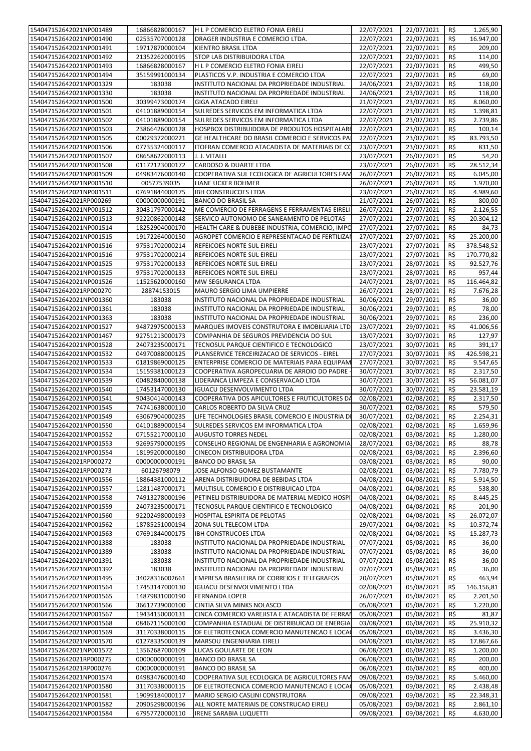| 154047152642021NP001489<br>154047152642021NP001490 | 16866828000167 | H L P COMERCIO ELETRO FONIA EIRELI               | 22/07/2021 | 22/07/2021 | R\$            | 1.265,90              |
|----------------------------------------------------|----------------|--------------------------------------------------|------------|------------|----------------|-----------------------|
|                                                    | 02535707000128 | DRAGER INDUSTRIA E COMERCIO LTDA.                | 22/07/2021 | 22/07/2021 | R\$            | 16.947,00             |
| 154047152642021NP001491                            | 19717870000104 | <b>KIENTRO BRASIL LTDA</b>                       | 22/07/2021 | 22/07/2021 | R\$            | 209,00                |
|                                                    |                |                                                  |            |            |                |                       |
| 154047152642021NP001492                            | 21352262000195 | STOP LAB DISTRIBUIDORA LTDA                      | 22/07/2021 | 22/07/2021 | R\$            | 114,00                |
| 154047152642021NP001493                            | 16866828000167 | H L P COMERCIO ELETRO FONIA EIRELI               | 22/07/2021 | 22/07/2021 | R\$            | 499,50                |
| 154047152642021NP001494                            | 35159991000134 | PLASTICOS V.P. INDUSTRIA E COMERCIO LTDA         | 22/07/2021 | 22/07/2021 | R\$            | 69,00                 |
| 154047152642021NP001329                            | 183038         | INSTITUTO NACIONAL DA PROPRIEDADE INDUSTRIAL     | 24/06/2021 | 23/07/2021 | R\$            | 118,00                |
| 154047152642021NP001330                            | 183038         | INSTITUTO NACIONAL DA PROPRIEDADE INDUSTRIAL     | 24/06/2021 | 23/07/2021 | R\$            | 118,00                |
| 154047152642021NP001500                            | 30399473000174 | <b>GIGA ATACADO EIRELI</b>                       | 21/07/2021 | 23/07/2021 | R\$            | 8.060,00              |
| 154047152642021NP001501                            | 04101889000154 | SULREDES SERVICOS EM INFORMATICA LTDA            | 22/07/2021 | 23/07/2021 | R\$            | 1.398,81              |
| 154047152642021NP001502                            | 04101889000154 | SULREDES SERVICOS EM INFORMATICA LTDA            | 22/07/2021 | 23/07/2021 | R\$            | 2.739,86              |
| 154047152642021NP001503                            |                | HOSPBOX DISTRIBUIDORA DE PRODUTOS HOSPITALARI    | 22/07/2021 | 23/07/2021 | R\$            | 100,14                |
|                                                    | 23866426000128 |                                                  |            |            |                |                       |
| 154047152642021NP001505                            | 00029372000221 | GE HEALTHCARE DO BRASIL COMERCIO E SERVICOS PAI  | 22/07/2021 | 23/07/2021 | R\$            | 83.793,50             |
| 154047152642021NP001506                            | 07735324000117 | ITOFRAN COMERCIO ATACADISTA DE MATERIAIS DE CO   | 23/07/2021 | 23/07/2021 | R\$            | 831,50                |
| 154047152642021NP001507                            | 08658622000113 | J. J. VITALLI                                    | 23/07/2021 | 26/07/2021 | R\$            | 54,20                 |
| 154047152642021NP001508                            | 01172123000172 | <b>CARDOSO &amp; DUARTE LTDA</b>                 | 23/07/2021 | 26/07/2021 | R\$            | 28.512,34             |
| 154047152642021NP001509                            | 04983476000140 | COOPERATIVA SUL ECOLOGICA DE AGRICULTORES FAM    | 26/07/2021 | 26/07/2021 | R\$            | 6.045,00              |
| 154047152642021NP001510                            | 00577539035    | LIANE UCKER BOHMER                               | 26/07/2021 | 26/07/2021 | R\$            | 1.970,00              |
| 154047152642021NP001511                            | 07691844000175 | <b>IBH CONSTRUCOES LTDA</b>                      | 23/07/2021 | 26/07/2021 | R\$            | 4.989,60              |
| 154047152642021RP000269                            | 00000000000191 | <b>BANCO DO BRASIL SA</b>                        | 21/07/2021 | 26/07/2021 | R\$            | 800,00                |
| 154047152642021NP001512                            | 30431797000142 | ME COMERCIO DE FERRAGENS E FERRAMENTAS EIRELI    | 26/07/2021 | 27/07/2021 | R\$            | 2.126,55              |
|                                                    |                | SERVICO AUTONOMO DE SANEAMENTO DE PELOTAS        |            |            |                |                       |
| 154047152642021NP001513                            | 92220862000148 |                                                  | 27/07/2021 | 27/07/2021 | R\$            | 20.304,12             |
| 154047152642021NP001514                            | 18252904000170 | HEALTH CARE & DUBEBE INDUSTRIA, COMERCIO, IMPO   | 27/07/2021 | 27/07/2021 | R\$            | 84,73                 |
| 154047152642021NP001515                            | 19172264000150 | AGROPET COMERCIO E REPRESENTACAO DE FERTILIZAN   | 27/07/2021 | 27/07/2021 | R\$            | 25.200,00             |
| 154047152642021NP001516                            | 97531702000214 | REFEICOES NORTE SUL EIRELI                       | 23/07/2021 | 27/07/2021 | R\$            | 378.548,52            |
| 154047152642021NP001516                            | 97531702000214 | REFEICOES NORTE SUL EIRELI                       | 23/07/2021 | 27/07/2021 | R\$            | 170.770,82            |
| 154047152642021NP001525                            | 97531702000133 | REFEICOES NORTE SUL EIRELI                       | 23/07/2021 | 28/07/2021 | R\$            | 92.527,76             |
| 154047152642021NP001525                            | 97531702000133 | REFEICOES NORTE SUL EIRELI                       | 23/07/2021 | 28/07/2021 | R\$            | 957,44                |
| 154047152642021NP001526                            | 11525620000160 | MW SEGURANCA LTDA                                | 24/07/2021 | 28/07/2021 | R\$            | 116.464,82            |
| 154047152642021RP000270                            | 28874153015    | MAURO SERGIO LIMA UMPIERRE                       | 26/07/2021 | 28/07/2021 | R\$            | 7.676,28              |
| 154047152642021NP001360                            | 183038         | INSTITUTO NACIONAL DA PROPRIEDADE INDUSTRIAL     | 30/06/2021 | 29/07/2021 | R\$            | 36,00                 |
| 154047152642021NP001361                            | 183038         | INSTITUTO NACIONAL DA PROPRIEDADE INDUSTRIAL     | 30/06/2021 | 29/07/2021 | R\$            | 78,00                 |
| 154047152642021NP001363                            | 183038         | INSTITUTO NACIONAL DA PROPRIEDADE INDUSTRIAL     | 30/06/2021 | 29/07/2021 | R\$            | 236,00                |
|                                                    |                |                                                  |            |            |                |                       |
| 154047152642021NP001527                            | 94872975000153 | MARQUES IMOVEIS CONSTRUTORA E IMOBILIARIA LTD.   | 23/07/2021 | 29/07/2021 | R\$            | 41.006,56             |
| 154047152642021NP001467                            | 92751213000173 | COMPANHIA DE SEGUROS PREVIDENCIA DO SUL          | 13/07/2021 | 30/07/2021 | R\$            | 127,97                |
| 154047152642021NP001528                            | 24073235000171 | TECNOSUL PARQUE CIENTIFICO E TECNOLOGICO         | 23/07/2021 | 30/07/2021 | R\$            | 391,17                |
| 154047152642021NP001532                            | 04970088000125 | PLANSERVICE TERCEIRIZACAO DE SERVICOS - EIREL    | 27/07/2021 | 30/07/2021 | R\$            | 426.598,21            |
| 154047152642021NP001533                            | 01819869000125 | ENTERPRISE COMERCIO DE MATERIAIS PARA EQUIPAM    | 27/07/2021 | 30/07/2021 | R\$            | 9.547,65              |
| 154047152642021NP001534                            | 15159381000123 | COOPERATIVA AGROPECUARIA DE ARROIO DO PADRE      | 30/07/2021 | 30/07/2021 | R\$            | 2.317,50              |
| 154047152642021NP001539                            | 00482840000138 | LIDERANCA LIMPEZA E CONSERVACAO LTDA             | 30/07/2021 | 30/07/2021 | R\$            | 56.081,07             |
| 154047152642021NP001540                            | 17453147000130 | <b>IGUACU DESENVOLVIMENTO LTDA</b>               | 30/07/2021 | 30/07/2021 | R\$            | 23.581,19             |
| 154047152642021NP001541                            | 90430414000143 | COOPERATIVA DOS APICULTORES E FRUTICULTORES DA   | 02/08/2021 | 02/08/2021 | R\$            | 2.317,50              |
| 154047152642021NP001545                            | 74741638000110 | CARLOS ROBERTO DA SILVA CRUZ                     | 30/07/2021 | 02/08/2021 | R\$            | 579,50                |
| 154047152642021NP001549                            | 63067904000235 | LIFE TECHNOLOGIES BRASIL COMERCIO E INDUSTRIA DI | 30/07/2021 | 02/08/2021 | R\$            | 2.254,31              |
|                                                    |                |                                                  |            |            | $R\frac{2}{3}$ |                       |
| 154047152642021NP001550                            | 04101889000154 | SULREDES SERVICOS EM INFORMATICA LTDA            | 02/08/2021 | 02/08/2021 |                | 1.659,96              |
| 154047152642021NP001552                            | 07155217000110 | <b>AUGUSTO TORRES NEDEL</b>                      | 02/08/2021 | 03/08/2021 | R\$            | 1.280,00              |
| 154047152642021NP001553                            | 92695790000195 | CONSELHO REGIONAL DE ENGENHARIA E AGRONOMIA      |            |            |                |                       |
|                                                    |                |                                                  | 28/07/2021 | 03/08/2021 | R\$            | 88,78                 |
| 154047152642021NP001554                            | 18199200000180 | CINECON DISTRIBUIDORA LTDA                       | 02/08/2021 | 03/08/2021 | R\$            | 2.396,60              |
| 154047152642021RP000272                            | 00000000000191 | <b>BANCO DO BRASIL SA</b>                        | 03/08/2021 | 03/08/2021 | R\$            | 90,00                 |
| 154047152642021RP000273                            | 60126798079    | JOSE ALFONSO GOMEZ BUSTAMANTE                    | 02/08/2021 | 03/08/2021 | R\$            | 7.780,79              |
| 154047152642021NP001556                            | 18864381000112 | ARENA DISTRIBUIDORA DE BEBIDAS LTDA              | 04/08/2021 | 04/08/2021 | R\$            | 5.914,50              |
|                                                    |                |                                                  |            |            |                |                       |
| 154047152642021NP001557                            | 12811487000171 | MULTISUL COMERCIO E DISTRIBUICAO LTDA            | 04/08/2021 | 04/08/2021 | R\$            | 538,80                |
| 154047152642021NP001558                            | 74913278000196 | PETINELI DISTRIBUIDORA DE MATERIAL MEDICO HOSPI  | 04/08/2021 | 04/08/2021 | R\$            | 8.445,25              |
| 154047152642021NP001559                            | 24073235000171 | TECNOSUL PARQUE CIENTIFICO E TECNOLOGICO         | 04/08/2021 | 04/08/2021 | R\$            | 201,90                |
| 154047152642021NP001560                            | 92202498000193 | HOSPITAL ESPIRITA DE PELOTAS                     | 02/08/2021 | 04/08/2021 | R\$            | 26.072,07             |
| 154047152642021NP001562                            | 18785251000194 | ZONA SUL TELECOM LTDA                            | 29/07/2021 | 04/08/2021 | R\$            | 10.372,74             |
| 154047152642021NP001563                            | 07691844000175 | <b>IBH CONSTRUCOES LTDA</b>                      | 02/08/2021 | 04/08/2021 | R\$            | 15.287,73             |
| 154047152642021NP001388                            | 183038         | INSTITUTO NACIONAL DA PROPRIEDADE INDUSTRIAL     | 07/07/2021 | 05/08/2021 | R\$            | 36,00                 |
| 154047152642021NP001389                            | 183038         | INSTITUTO NACIONAL DA PROPRIEDADE INDUSTRIAL     | 07/07/2021 | 05/08/2021 | R\$            | 36,00                 |
| 154047152642021NP001391                            | 183038         | INSTITUTO NACIONAL DA PROPRIEDADE INDUSTRIAL     | 07/07/2021 | 05/08/2021 | R\$            | 36,00                 |
| 154047152642021NP001392                            | 183038         | INSTITUTO NACIONAL DA PROPRIEDADE INDUSTRIAL     | 07/07/2021 | 05/08/2021 | R\$            | 36,00                 |
| 154047152642021NP001495                            | 34028316002661 | EMPRESA BRASILEIRA DE CORREIOS E TELEGRAFOS      | 20/07/2021 | 05/08/2021 | R\$            | 463,94                |
| 154047152642021NP001564                            | 17453147000130 | <b>IGUACU DESENVOLVIMENTO LTDA</b>               | 02/08/2021 | 05/08/2021 | R\$            | 146.156,81            |
|                                                    |                |                                                  |            |            |                |                       |
| 154047152642021NP001565                            | 14879831000190 | <b>FERNANDA LOPER</b>                            | 26/07/2021 | 05/08/2021 | R\$<br>R\$     | 2.201,50              |
| 154047152642021NP001566                            | 36612739000100 | CINTIA SILVA MINKS NOLASCO                       | 05/08/2021 | 05/08/2021 |                | $\overline{1.220,00}$ |
| 154047152642021NP001567                            | 19434150000131 | CINCA COMERCIO VAREJISTA E ATACADISTA DE FERRAN  | 05/08/2021 | 05/08/2021 | R\$            | 81,87                 |
| 154047152642021NP001568                            | 08467115000100 | COMPANHIA ESTADUAL DE DISTRIBUICAO DE ENERGIA    | 03/08/2021 | 06/08/2021 | R\$            | 25.910,32             |
| 154047152642021NP001569                            | 31170338000115 | DF ELETROTECNICA COMERCIO MANUTENCAO E LOCA      | 05/08/2021 | 06/08/2021 | R\$            | 3.436,30              |
| 154047152642021NP001570                            | 01278335000139 | MARSOU ENGENHARIA EIRELI                         | 04/08/2021 | 06/08/2021 | R\$            | 17.867,66             |
| 154047152642021NP001572                            | 13562687000109 | LUCAS GOULARTE DE LEON                           | 06/08/2021 | 06/08/2021 | R\$            | 1.200,00              |
| 154047152642021RP000275                            | 00000000000191 | <b>BANCO DO BRASIL SA</b>                        | 06/08/2021 | 06/08/2021 | R\$            | 200,00                |
| 154047152642021RP000276                            | 00000000000191 | <b>BANCO DO BRASIL SA</b>                        | 06/08/2021 | 06/08/2021 | R\$            | 400,00                |
| 154047152642021NP001574                            | 04983476000140 | COOPERATIVA SUL ECOLOGICA DE AGRICULTORES FAM    | 09/08/2021 | 09/08/2021 | R\$            | 5.460,00              |
| 154047152642021NP001580                            | 31170338000115 | DF ELETROTECNICA COMERCIO MANUTENCAO E LOCA      | 05/08/2021 | 09/08/2021 | R\$            | 2.438,48              |
| 154047152642021NP001581                            | 19099184000117 | MARIO SERGIO CASLINI CONSTRUTORA                 | 09/08/2021 | 09/08/2021 | R\$            | 22.348,31             |
| 154047152642021NP001582                            | 20905298000196 | ALL NORTE MATERIAIS DE CONSTRUCAO EIRELI         | 05/08/2021 | 09/08/2021 | R\$            | 2.861,10              |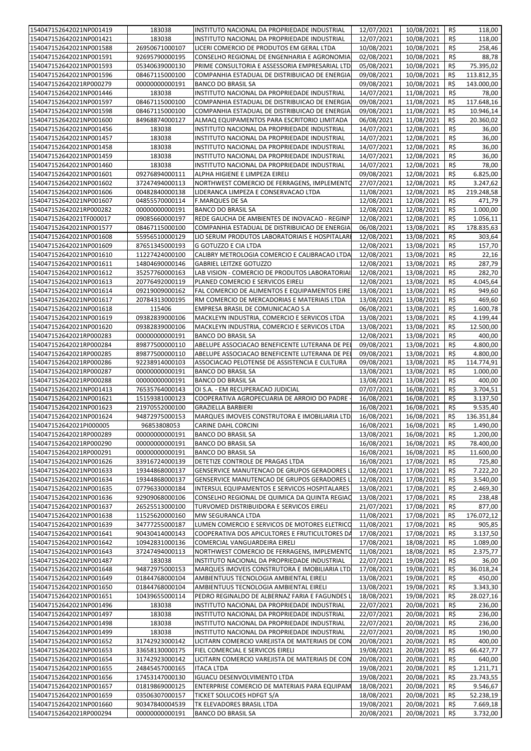| 154047152642021NP001419 | 183038         | INSTITUTO NACIONAL DA PROPRIEDADE INDUSTRIAL    | 12/07/2021              | 10/08/2021               | R\$ | 118,00                |
|-------------------------|----------------|-------------------------------------------------|-------------------------|--------------------------|-----|-----------------------|
| 154047152642021NP001421 | 183038         | INSTITUTO NACIONAL DA PROPRIEDADE INDUSTRIAL    | 12/07/2021              | 10/08/2021               | R\$ | 118,00                |
| 154047152642021NP001588 | 26950671000107 | LICERI COMERCIO DE PRODUTOS EM GERAL LTDA       | 10/08/2021              | 10/08/2021               | R\$ | 258,46                |
|                         |                |                                                 |                         |                          |     |                       |
| 154047152642021NP001591 | 92695790000195 | CONSELHO REGIONAL DE ENGENHARIA E AGRONOMIA     | 02/08/2021              | 10/08/2021               | R\$ | 88,78                 |
| 154047152642021NP001593 | 05340639000130 | PRIME CONSULTORIA E ASSESSORIA EMPRESARIAL LTD. | 05/08/2021              | 10/08/2021               | R\$ | 75.395,02             |
| 154047152642021NP001596 | 08467115000100 | COMPANHIA ESTADUAL DE DISTRIBUICAO DE ENERGIA   | 09/08/2021              | 10/08/2021               | R\$ | 113.812,35            |
| 154047152642021RP000279 | 00000000000191 | <b>BANCO DO BRASIL SA</b>                       | 09/08/2021              | 10/08/2021               | R\$ | 143.000,00            |
| 154047152642021NP001446 | 183038         | INSTITUTO NACIONAL DA PROPRIEDADE INDUSTRIAL    | 14/07/2021              | 11/08/2021               | R\$ | 78,00                 |
| 154047152642021NP001597 | 08467115000100 | COMPANHIA ESTADUAL DE DISTRIBUICAO DE ENERGIA   | 09/08/2021              | 11/08/2021               | R\$ | 117.648,16            |
| 154047152642021NP001598 | 08467115000100 | COMPANHIA ESTADUAL DE DISTRIBUICAO DE ENERGIA   | 09/08/2021              | 11/08/2021               | R\$ | 10.946,14             |
| 154047152642021NP001600 | 84968874000127 | ALMAQ EQUIPAMENTOS PARA ESCRITORIO LIMITADA     | 06/08/2021              | 11/08/2021               | R\$ | 20.360,02             |
| 154047152642021NP001456 | 183038         | INSTITUTO NACIONAL DA PROPRIEDADE INDUSTRIAL    | 14/07/2021              | 12/08/2021               | R\$ | 36,00                 |
| 154047152642021NP001457 | 183038         | INSTITUTO NACIONAL DA PROPRIEDADE INDUSTRIAL    | 14/07/2021              | 12/08/2021               | R\$ | 36,00                 |
|                         | 183038         | INSTITUTO NACIONAL DA PROPRIEDADE INDUSTRIAL    |                         |                          | R\$ |                       |
| 154047152642021NP001458 |                |                                                 | 14/07/2021              | 12/08/2021               |     | 36,00                 |
| 154047152642021NP001459 | 183038         | INSTITUTO NACIONAL DA PROPRIEDADE INDUSTRIAL    | 14/07/2021              | 12/08/2021               | R\$ | 36,00                 |
| 154047152642021NP001460 | 183038         | INSTITUTO NACIONAL DA PROPRIEDADE INDUSTRIAL    | 14/07/2021              | 12/08/2021               | R\$ | 78,00                 |
| 154047152642021NP001601 | 09276894000111 | ALPHA HIGIENE E LIMPEZA EIRELI                  | 09/08/2021              | 12/08/2021               | R\$ | 6.825,00              |
| 154047152642021NP001602 | 37247494000113 | NORTHWEST COMERCIO DE FERRAGENS, IMPLEMENTC     | 27/07/2021              | 12/08/2021               | R\$ | 3.247,62              |
| 154047152642021NP001606 | 00482840000138 | LIDERANCA LIMPEZA E CONSERVACAO LTDA            | 11/08/2021              | 12/08/2021               | R\$ | 219.248,58            |
| 154047152642021NP001607 | 04855570000114 | <b>F.MARQUES DE SA</b>                          | 12/08/2021              | 12/08/2021               | R\$ | 471,79                |
| 154047152642021RP000282 | 00000000000191 | <b>BANCO DO BRASIL SA</b>                       | 12/08/2021              | 12/08/2021               | R\$ | 1.000,00              |
| 154047152642021TF000017 | 09085660000197 | REDE GAUCHA DE AMBIENTES DE INOVACAO - REGINP   | 12/08/2021              | 12/08/2021               | R\$ | 1.056,11              |
| 154047152642021NP001577 | 08467115000100 | COMPANHIA ESTADUAL DE DISTRIBUICAO DE ENERGIA   | 06/08/2021              | 13/08/2021               | R\$ | 178.835,63            |
| 154047152642021NP001608 | 55956510000129 | LIO SERUM PRODUTOS LABORATORIAIS E HOSPITALARI  | 12/08/2021              | 13/08/2021               | R\$ | 303,64                |
|                         |                |                                                 |                         |                          |     |                       |
| 154047152642021NP001609 | 87651345000193 | <b>G GOTUZZO E CIA LTDA</b>                     | 12/08/2021              | 13/08/2021               | R\$ | 157,70                |
| 154047152642021NP001610 | 11227424000100 | CALIBRY METROLOGIA COMERCIO E CALIBRACAO LTDA   | 12/08/2021              | 13/08/2021               | R\$ | 22,16                 |
| 154047152642021NP001611 | 14804690000146 | <b>GABRIEL LEITZKE GOTUZZO</b>                  | 12/08/2021              | 13/08/2021               | R\$ | 287,79                |
| 154047152642021NP001612 | 35257760000163 | LAB VISION - COMERCIO DE PRODUTOS LABORATORIAI  | 12/08/2021              | 13/08/2021               | R\$ | 282,70                |
| 154047152642021NP001613 | 20776492000119 | PLANED COMERCIO E SERVICOS EIRELI               | 12/08/2021              | 13/08/2021               | R\$ | 4.045,64              |
| 154047152642021NP001614 | 09219009000162 | FAL COMERCIO DE ALIMENTOS E EQUIPAMENTOS EIRE   | 13/08/2021              | 13/08/2021               | R\$ | 949,60                |
| 154047152642021NP001617 | 20784313000195 | RM COMERCIO DE MERCADORIAS E MATERIAIS LTDA     | 13/08/2021              | 13/08/2021               | R\$ | 469,60                |
| 154047152642021NP001618 | 115406         | EMPRESA BRASIL DE COMUNICACAO S.A               | 06/08/2021              | 13/08/2021               | R\$ | 1.600,78              |
| 154047152642021NP001619 | 09382839000106 | MACKLEYN INDUSTRIA, COMERCIO E SERVICOS LTDA    | 13/08/2021              | 13/08/2021               | R\$ | 4.199,44              |
| 154047152642021NP001620 | 09382839000106 | MACKLEYN INDUSTRIA, COMERCIO E SERVICOS LTDA    | 13/08/2021              | 13/08/2021               | R\$ | 12.500,00             |
|                         |                |                                                 |                         |                          |     |                       |
| 154047152642021RP000283 | 00000000000191 | <b>BANCO DO BRASIL SA</b>                       | 12/08/2021              | 13/08/2021               | R\$ | 400,00                |
| 154047152642021RP000284 | 89877500000110 | ABELUPE ASSOCIACAO BENEFICENTE LUTERANA DE PEI  | 09/08/2021              | 13/08/2021               | R\$ | 4.800,00              |
| 154047152642021RP000285 | 89877500000110 | ABELUPE ASSOCIACAO BENEFICENTE LUTERANA DE PEI  | 09/08/2021              | 13/08/2021               | R\$ | 4.800,00              |
| 154047152642021RP000286 | 92238914000103 | ASSOCIACAO PELOTENSE DE ASSISTENCIA E CULTURA   | 09/08/2021              | 13/08/2021               | R\$ | 114.774,91            |
|                         |                | <b>BANCO DO BRASIL SA</b>                       | 13/08/2021              |                          |     | 1.000,00              |
| 154047152642021RP000287 | 00000000000191 |                                                 |                         | 13/08/2021               | R\$ |                       |
| 154047152642021RP000288 | 00000000000191 | <b>BANCO DO BRASIL SA</b>                       | 13/08/2021              | 13/08/2021               | R\$ | 400,00                |
| 154047152642021NP001413 | 76535764000143 | OI S.A. - EM RECUPERACAO JUDICIAL               | 07/07/2021              | 16/08/2021               | R\$ |                       |
|                         |                |                                                 |                         |                          |     | 3.704,51              |
| 154047152642021NP001621 | 15159381000123 | COOPERATIVA AGROPECUARIA DE ARROIO DO PADRE     | 16/08/2021              | 16/08/2021               | R\$ | 3.137,50              |
| 154047152642021NP001623 | 21970552000100 | <b>GRAZIELLA BARBIERI</b>                       | 16/08/2021              | 16/08/2021               | R\$ | 9.535,40              |
| 154047152642021NP001624 | 94872975000153 | MARQUES IMOVEIS CONSTRUTORA E IMOBILIARIA LTD.  | 16/08/2021              | 16/08/2021               | R\$ | 136.351,84            |
| 154047152642021Pl000005 | 96853808053    | CARINE DAHL CORCINI                             | 16/08/2021              | 16/08/2021 R\$           |     | 1.490,00              |
| 154047152642021RP000289 | 00000000000191 | <b>BANCO DO BRASIL SA</b>                       | 13/08/2021              | 16/08/2021               | R\$ | 1.200,00              |
| 154047152642021RP000290 | 00000000000191 | <b>BANCO DO BRASIL SA</b>                       | 16/08/2021              | 16/08/2021               | R\$ | 78.400,00             |
| 154047152642021RP000291 | 00000000000191 | <b>BANCO DO BRASIL SA</b>                       | 16/08/2021              | 16/08/2021               | R\$ | 11.600,00             |
| 154047152642021NP001626 | 33916724000139 | DETETIZE CONTROLE DE PRAGAS LTDA                | 16/08/2021              | 17/08/2021               | R\$ | 725,80                |
| 154047152642021NP001633 | 19344868000137 | GENSERVICE MANUTENCAO DE GRUPOS GERADORES L     | 12/08/2021              | 17/08/2021               | R\$ | 7.222,20              |
| 154047152642021NP001634 | 19344868000137 | GENSERVICE MANUTENCAO DE GRUPOS GERADORES L     | 12/08/2021              | 17/08/2021               | R\$ | 3.540,00              |
|                         |                |                                                 |                         |                          |     |                       |
| 154047152642021NP001635 | 07796330000184 | INTERSUL EQUIPAMENTOS E SERVICOS HOSPITALARES   | 13/08/2021              | 17/08/2021               | R\$ | 2.469,30              |
| 154047152642021NP001636 | 92909068000106 | CONSELHO REGIONAL DE QUIMICA DA QUINTA REGIAC   | 13/08/2021              | 17/08/2021               | R\$ | 238,48                |
| 154047152642021NP001637 | 26525513000100 | TURVOMED DISTRIBUIDORA E SERVICOS EIRELI        | 21/07/2021              | 17/08/2021               | R\$ | 877,00                |
| 154047152642021NP001638 | 11525620000160 | MW SEGURANCA LTDA                               | 11/08/2021              | 17/08/2021               | R\$ | 176.072,12            |
| 154047152642021NP001639 | 34777255000187 | LUMEN COMERCIO E SERVICOS DE MOTORES ELETRICO   | 11/08/2021              | 17/08/2021               | R\$ | 905,85                |
| 154047152642021NP001641 | 90430414000143 | COOPERATIVA DOS APICULTORES E FRUTICULTORES DA  | 17/08/2021              | 17/08/2021               | R\$ | 3.137,50              |
| 154047152642021NP001642 | 10942831000136 | COMERCIAL VANGUARDEIRA EIRELI                   | 17/08/2021              | 18/08/2021               | R\$ | 1.089,00              |
| 154047152642021NP001643 | 37247494000113 | NORTHWEST COMERCIO DE FERRAGENS, IMPLEMENTO     | 11/08/2021              | 18/08/2021               | R\$ | $\overline{2.375,77}$ |
| 154047152642021NP001487 | 183038         | INSTITUTO NACIONAL DA PROPRIEDADE INDUSTRIAL    | 22/07/2021              | 19/08/2021               | R\$ | 36,00                 |
| 154047152642021NP001648 | 94872975000153 | MARQUES IMOVEIS CONSTRUTORA E IMOBILIARIA LTD   | 17/08/2021              | 19/08/2021               | R\$ | 36.018,24             |
| 154047152642021NP001649 | 01844768000104 | AMBIENTUUS TECNOLOGIA AMBIENTAL EIRELI          | 13/08/2021              | 19/08/2021               | R\$ | 450,00                |
| 154047152642021NP001650 | 01844768000104 | AMBIENTUUS TECNOLOGIA AMBIENTAL EIRELI          | 13/08/2021              | 19/08/2021               | R\$ | 3.343,30              |
| 154047152642021NP001651 | 10439655000114 | PEDRO REGINALDO DE ALBERNAZ FARIA E FAGUNDES L  | 18/08/2021              |                          | R\$ |                       |
| 154047152642021NP001496 | 183038         |                                                 |                         | 19/08/2021<br>20/08/2021 | R\$ | 28.027,16<br>236,00   |
|                         |                | INSTITUTO NACIONAL DA PROPRIEDADE INDUSTRIAL    | 22/07/2021              |                          |     |                       |
| 154047152642021NP001497 | 183038         | INSTITUTO NACIONAL DA PROPRIEDADE INDUSTRIAL    | 22/07/2021              | 20/08/2021               | R\$ | 236,00                |
| 154047152642021NP001498 | 183038         | INSTITUTO NACIONAL DA PROPRIEDADE INDUSTRIAL    | $\overline{22}/07/2021$ | 20/08/2021               | R\$ | 236,00                |
| 154047152642021NP001499 | 183038         | INSTITUTO NACIONAL DA PROPRIEDADE INDUSTRIAL    | 22/07/2021              | 20/08/2021               | R\$ | 190,00                |
| 154047152642021NP001652 | 31742923000142 | LICITARN COMERCIO VAREJISTA DE MATERIAIS DE CON | 20/08/2021              | 20/08/2021               | R\$ | 400,00                |
| 154047152642021NP001653 | 33658130000175 | FIEL COMERCIAL E SERVICOS EIRELI                | 19/08/2021              | 20/08/2021               | R\$ | 66.427,77             |
| 154047152642021NP001654 | 31742923000142 | LICITARN COMERCIO VAREJISTA DE MATERIAIS DE CON | 20/08/2021              | 20/08/2021               | R\$ | 640,00                |
| 154047152642021NP001655 | 24845457000165 | <b>ITACA LTDA</b>                               | 19/08/2021              | 20/08/2021               | R\$ | 1.211,71              |
| 154047152642021NP001656 | 17453147000130 | IGUACU DESENVOLVIMENTO LTDA                     | 19/08/2021              | 20/08/2021               | R\$ | 23.743,55             |
| 154047152642021NP001657 | 01819869000125 | ENTERPRISE COMERCIO DE MATERIAIS PARA EQUIPAM   | 18/08/2021              | 20/08/2021               | R\$ | 9.546,67              |
| 154047152642021NP001659 | 03506307000157 | <b>TICKET SOLUCOES HDFGT S/A</b>                | 18/08/2021              | 20/08/2021               | R\$ | 52.238,19             |
| 154047152642021NP001660 | 90347840004539 | TK ELEVADORES BRASIL LTDA                       | 19/08/2021              | 20/08/2021               | R\$ | 7.669,18              |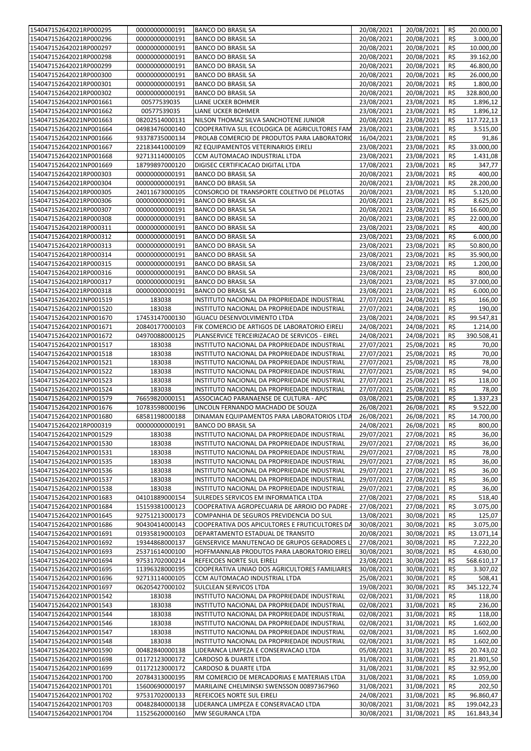|                                                    | 00000000000191                   | <b>BANCO DO BRASIL SA</b>                                 | 20/08/2021               | 20/08/2021               | R\$        | 20.000,00                |
|----------------------------------------------------|----------------------------------|-----------------------------------------------------------|--------------------------|--------------------------|------------|--------------------------|
| 154047152642021RP000295                            |                                  |                                                           |                          |                          |            |                          |
| 154047152642021RP000296                            | 00000000000191                   | <b>BANCO DO BRASIL SA</b>                                 | 20/08/2021               | 20/08/2021               | R\$        | 3.000,00                 |
| 154047152642021RP000297                            | 00000000000191                   | <b>BANCO DO BRASIL SA</b>                                 | 20/08/2021               | 20/08/2021               | R\$        | 10.000,00                |
| 154047152642021RP000298                            | 00000000000191                   | <b>BANCO DO BRASIL SA</b>                                 | 20/08/2021               | 20/08/2021               | R\$        | 39.162,00                |
|                                                    |                                  |                                                           |                          |                          |            |                          |
| 154047152642021RP000299                            | 00000000000191                   | <b>BANCO DO BRASIL SA</b>                                 | 20/08/2021               | 20/08/2021               | R\$        | 46.800,00                |
| 154047152642021RP000300                            | 00000000000191                   | <b>BANCO DO BRASIL SA</b>                                 | 20/08/2021               | 20/08/2021               | R\$        | 26.000,00                |
| 154047152642021RP000301                            | 00000000000191                   | <b>BANCO DO BRASIL SA</b>                                 | 20/08/2021               | 20/08/2021               | R\$        | 1.800,00                 |
| 154047152642021RP000302                            | 00000000000191                   | <b>BANCO DO BRASIL SA</b>                                 | 20/08/2021               | 20/08/2021               | R\$        | 328.800,00               |
|                                                    |                                  |                                                           |                          |                          |            |                          |
| 154047152642021NP001661                            | 00577539035                      | LIANE UCKER BOHMER                                        | 23/08/2021               | 23/08/2021               | R\$        | 1.896,12                 |
| 154047152642021NP001662                            | 00577539035                      | LIANE UCKER BOHMER                                        | 23/08/2021               | 23/08/2021               | R\$        | 1.896,12                 |
| 154047152642021NP001663                            | 08202514000131                   | NILSON THOMAZ SILVA SANCHOTENE JUNIOR                     | 20/08/2021               | 23/08/2021               | R\$        | 117.722,13               |
|                                                    |                                  |                                                           |                          |                          |            |                          |
| 154047152642021NP001664                            | 04983476000140                   | COOPERATIVA SUL ECOLOGICA DE AGRICULTORES FAM             | 23/08/2021               | 23/08/2021               | R\$        | 3.515,00                 |
| 154047152642021NP001666                            | 93378735000134                   | PROLAB COMERCIO DE PRODUTOS PARA LABORATORIO              | 16/04/2021               | 23/08/2021               | R\$        | 91,86                    |
| 154047152642021NP001667                            | 22183441000109                   | RZ EQUIPAMENTOS VETERINARIOS EIRELI                       | 23/08/2021               | 23/08/2021               | R\$        | 33.000,00                |
|                                                    |                                  |                                                           |                          |                          |            |                          |
| 154047152642021NP001668                            | 92713114000105                   | CCM AUTOMACAO INDUSTRIAL LTDA                             | 23/08/2021               | 23/08/2021               | R\$        | 1.431,08                 |
| 154047152642021NP001669                            | 18799897000120                   | DIGISEC CERTIFICACAO DIGITAL LTDA                         | 17/08/2021               | 23/08/2021               | R\$        | 347,77                   |
| 154047152642021RP000303                            | 00000000000191                   | <b>BANCO DO BRASIL SA</b>                                 | 20/08/2021               | 23/08/2021               | R\$        | 400,00                   |
|                                                    |                                  |                                                           |                          |                          |            |                          |
| 154047152642021RP000304                            | 00000000000191                   | <b>BANCO DO BRASIL SA</b>                                 | 20/08/2021               | 23/08/2021               | R\$        | 28.200,00                |
| 154047152642021RP000305                            | 24011673000105                   | CONSORCIO DE TRANSPORTE COLETIVO DE PELOTAS               | 20/08/2021               | 23/08/2021               | R\$        | 5.120,00                 |
| 154047152642021RP000306                            | 00000000000191                   | <b>BANCO DO BRASIL SA</b>                                 | 20/08/2021               | 23/08/2021               | R\$        | 8.625,00                 |
|                                                    |                                  |                                                           |                          |                          |            |                          |
| 154047152642021RP000307                            | 00000000000191                   | <b>BANCO DO BRASIL SA</b>                                 | 20/08/2021               | 23/08/2021               | R\$        | 16.600,00                |
| 154047152642021RP000308                            | 00000000000191                   | <b>BANCO DO BRASIL SA</b>                                 | 20/08/2021               | 23/08/2021               | R\$        | 22.000,00                |
|                                                    | 00000000000191                   |                                                           | 23/08/2021               | 23/08/2021               | R\$        | 400,00                   |
| 154047152642021RP000311                            |                                  | <b>BANCO DO BRASIL SA</b>                                 |                          |                          |            |                          |
| 154047152642021RP000312                            | 00000000000191                   | <b>BANCO DO BRASIL SA</b>                                 | 23/08/2021               | 23/08/2021               | R\$        | 6.000,00                 |
| 154047152642021RP000313                            | 00000000000191                   | <b>BANCO DO BRASIL SA</b>                                 | 23/08/2021               | 23/08/2021               | R\$        | 50.800,00                |
| 154047152642021RP000314                            | 00000000000191                   | <b>BANCO DO BRASIL SA</b>                                 | 23/08/2021               | 23/08/2021               | R\$        | 35.900,00                |
|                                                    |                                  |                                                           |                          |                          |            |                          |
| 154047152642021RP000315                            | 00000000000191                   | <b>BANCO DO BRASIL SA</b>                                 | 23/08/2021               | 23/08/2021               | R\$        | 1.200,00                 |
| 154047152642021RP000316                            | 00000000000191                   | <b>BANCO DO BRASIL SA</b>                                 | 23/08/2021               | 23/08/2021               | R\$        | 800,00                   |
| 154047152642021RP000317                            | 00000000000191                   | <b>BANCO DO BRASIL SA</b>                                 | 23/08/2021               | 23/08/2021               | R\$        | 37.000,00                |
|                                                    |                                  |                                                           |                          |                          |            |                          |
| 154047152642021RP000318                            | 00000000000191                   | <b>BANCO DO BRASIL SA</b>                                 | 23/08/2021               | 23/08/2021               | R\$        | 6.000,00                 |
| 154047152642021NP001519                            | 183038                           | INSTITUTO NACIONAL DA PROPRIEDADE INDUSTRIAL              | 27/07/2021               | 24/08/2021               | R\$        | 166,00                   |
| 154047152642021NP001520                            | 183038                           | INSTITUTO NACIONAL DA PROPRIEDADE INDUSTRIAL              | 27/07/2021               | 24/08/2021               | R\$        | 190,00                   |
|                                                    |                                  |                                                           |                          |                          |            |                          |
| 154047152642021NP001670                            | 17453147000130                   | <b>IGUACU DESENVOLVIMENTO LTDA</b>                        | 23/08/2021               | 24/08/2021               | R\$        | 99.547,81                |
| 154047152642021NP001671                            | 20840177000103                   | FIK COMERCIO DE ARTIGOS DE LABORATORIO EIRELI             | 24/08/2021               | 24/08/2021               | R\$        | 1.214,00                 |
| 154047152642021NP001672                            | 04970088000125                   | PLANSERVICE TERCEIRIZACAO DE SERVICOS - EIREL             | 24/08/2021               | 24/08/2021               | R\$        | 390.508,41               |
|                                                    |                                  |                                                           |                          |                          |            |                          |
| 154047152642021NP001517                            | 183038                           | INSTITUTO NACIONAL DA PROPRIEDADE INDUSTRIAL              | 27/07/2021               | 25/08/2021               | R\$        | 70,00                    |
| 154047152642021NP001518                            | 183038                           | INSTITUTO NACIONAL DA PROPRIEDADE INDUSTRIAL              | 27/07/2021               | 25/08/2021               | R\$        | 70,00                    |
| 154047152642021NP001521                            | 183038                           | INSTITUTO NACIONAL DA PROPRIEDADE INDUSTRIAL              | 27/07/2021               | 25/08/2021               | R\$        | 78,00                    |
|                                                    |                                  |                                                           |                          | 25/08/2021               | R\$        |                          |
| 154047152642021NP001522                            | 183038                           | INSTITUTO NACIONAL DA PROPRIEDADE INDUSTRIAL              | 27/07/2021               |                          |            | 94,00                    |
| 154047152642021NP001523                            | 183038                           | INSTITUTO NACIONAL DA PROPRIEDADE INDUSTRIAL              | $\frac{1}{27}/07/2021$   | 25/08/2021               | R\$        | 118,00                   |
| 154047152642021NP001524                            | 183038                           | INSTITUTO NACIONAL DA PROPRIEDADE INDUSTRIAL              | 27/07/2021               | 25/08/2021               | R\$        | 78,00                    |
|                                                    |                                  | ASSOCIACAO PARANAENSE DE CULTURA - APC                    |                          | 25/08/2021               | R\$        | 1.337,23                 |
|                                                    |                                  |                                                           |                          |                          |            |                          |
| 154047152642021NP001579                            | 76659820000151                   |                                                           | 03/08/2021               |                          |            |                          |
| 154047152642021NP001676                            | 10783598000196                   | LINCOLN FERNANDO MACHADO DE SOUZA                         | 26/08/2021               | 26/08/2021               | R\$        | 9.522,00                 |
|                                                    |                                  |                                                           |                          |                          |            |                          |
| 154047152642021NP001680                            | 68581198000188                   | DINAMAN EQUIPAMENTOS PARA LABORATORIOS LTDA               | 26/08/2021               | 26/08/2021               | R\$        | 14.700,00                |
| 154047152642021RP000319                            | 00000000000191                   | <b>BANCO DO BRASIL SA</b>                                 | 24/08/2021               | 26/08/2021 R\$           |            | 800,00                   |
| 154047152642021NP001529                            | 183038                           | INSTITUTO NACIONAL DA PROPRIEDADE INDUSTRIAL              | 29/07/2021               | 27/08/2021               | R\$        | 36,00                    |
|                                                    |                                  |                                                           |                          |                          |            |                          |
| 154047152642021NP001530                            | 183038                           | INSTITUTO NACIONAL DA PROPRIEDADE INDUSTRIAL              | 29/07/2021               | 27/08/2021               | R\$        | 36,00                    |
| 154047152642021NP001531                            | 183038                           | INSTITUTO NACIONAL DA PROPRIEDADE INDUSTRIAL              | 29/07/2021               | 27/08/2021               | R\$        | 78,00                    |
| 154047152642021NP001535                            | 183038                           | INSTITUTO NACIONAL DA PROPRIEDADE INDUSTRIAL              | 29/07/2021               | $\frac{1}{27}/08/2021$   | R\$        | 36,00                    |
| 154047152642021NP001536                            | 183038                           | INSTITUTO NACIONAL DA PROPRIEDADE INDUSTRIAL              | 29/07/2021               | 27/08/2021               | R\$        | 36,00                    |
|                                                    |                                  |                                                           |                          |                          |            |                          |
| 154047152642021NP001537                            | 183038                           | INSTITUTO NACIONAL DA PROPRIEDADE INDUSTRIAL              | 29/07/2021               | 27/08/2021               | R\$        | 36,00                    |
| 154047152642021NP001538                            | 183038                           | INSTITUTO NACIONAL DA PROPRIEDADE INDUSTRIAL              | 29/07/2021               | 27/08/2021               | R\$        | 36,00                    |
| 154047152642021NP001683                            | 04101889000154                   | SULREDES SERVICOS EM INFORMATICA LTDA                     | 27/08/2021               | 27/08/2021               | R\$        | 518,40                   |
|                                                    |                                  |                                                           |                          |                          |            |                          |
| 154047152642021NP001684                            | 15159381000123                   | COOPERATIVA AGROPECUARIA DE ARROIO DO PADRE               | 27/08/2021               | 27/08/2021               | R\$        | 3.075,00                 |
| 154047152642021NP001645                            | 92751213000173                   | COMPANHIA DE SEGUROS PREVIDENCIA DO SUL                   | 13/08/2021               | 30/08/2021               | R\$        | 125,07                   |
| 154047152642021NP001686                            | 90430414000143                   | COOPERATIVA DOS APICULTORES E FRUTICULTORES DA            | 30/08/2021               | 30/08/2021               | R\$        | 3.075,00                 |
| 154047152642021NP001691                            | 01935819000103                   | DEPARTAMENTO ESTADUAL DE TRANSITO                         | 20/08/2021               | 30/08/2021               | R\$        | 13.071,14                |
|                                                    |                                  |                                                           |                          |                          |            |                          |
| 154047152642021NP001692                            | 19344868000137                   | GENSERVICE MANUTENCAO DE GRUPOS GERADORES L               | 27/08/2021               | 30/08/2021               | R\$        | 7.222,20                 |
| 154047152642021NP001693                            | 25371614000100                   | HOFFMANNLAB PRODUTOS PARA LABORATORIO EIREL               | 30/08/2021               | 30/08/2021               | R\$        | 4.630,00                 |
| 154047152642021NP001694                            | 97531702000214                   | REFEICOES NORTE SUL EIRELI                                | 23/08/2021               | 30/08/2021               | R\$        | 568.610,17               |
|                                                    |                                  |                                                           |                          |                          |            |                          |
| 154047152642021NP001695                            | 11396328000195                   | COOPERATIVA UNIAO DOS AGRICULTORES FAMILIARES             | 30/08/2021               | 30/08/2021               | R\$        | 3.307,02                 |
| 154047152642021NP001696                            | 92713114000105                   | CCM AUTOMACAO INDUSTRIAL LTDA                             | 25/08/2021               | 30/08/2021               | R\$        | 508,41                   |
| 154047152642021NP001697                            | 06205427000102                   | SULCLEAN SERVICOS LTDA                                    | 19/08/2021               | 30/08/2021               | R\$        | 345.122,74               |
|                                                    |                                  |                                                           |                          |                          |            |                          |
| 154047152642021NP001542                            | 183038                           | INSTITUTO NACIONAL DA PROPRIEDADE INDUSTRIAL              | 02/08/2021               | 31/08/2021               | R\$        | 118,00                   |
| 154047152642021NP001543                            | 183038                           | INSTITUTO NACIONAL DA PROPRIEDADE INDUSTRIAL              | $\overline{0}$ 2/08/2021 | 31/08/2021               | R\$        | 236,00                   |
| 154047152642021NP001544                            | 183038                           | INSTITUTO NACIONAL DA PROPRIEDADE INDUSTRIAL              | $\overline{02}/08/2021$  | 31/08/2021               | R\$        | 118,00                   |
|                                                    |                                  |                                                           |                          |                          |            |                          |
| 154047152642021NP001546                            | 183038                           | INSTITUTO NACIONAL DA PROPRIEDADE INDUSTRIAL              | 02/08/2021               | 31/08/2021               | R\$        | 1.602,00                 |
| 154047152642021NP001547                            | 183038                           | INSTITUTO NACIONAL DA PROPRIEDADE INDUSTRIAL              | 02/08/2021               | 31/08/2021               | R\$        | 1.602,00                 |
| 154047152642021NP001548                            | 183038                           | INSTITUTO NACIONAL DA PROPRIEDADE INDUSTRIAL              | 02/08/2021               | 31/08/2021               | R\$        | 1.602,00                 |
|                                                    |                                  |                                                           |                          |                          |            |                          |
| 154047152642021NP001590                            | 00482840000138                   | LIDERANCA LIMPEZA E CONSERVACAO LTDA                      | 05/08/2021               | 31/08/2021               | R\$        | 20.743,02                |
| 154047152642021NP001698                            | 01172123000172                   | CARDOSO & DUARTE LTDA                                     | 31/08/2021               | 31/08/2021               | R\$        | 21.801,50                |
| 154047152642021NP001699                            | 01172123000172                   | CARDOSO & DUARTE LTDA                                     | 31/08/2021               | 31/08/2021               | R\$        | 32.952,00                |
|                                                    |                                  |                                                           |                          |                          |            |                          |
| 154047152642021NP001700                            | 20784313000195                   | RM COMERCIO DE MERCADORIAS E MATERIAIS LTDA               | 31/08/2021               | 31/08/2021               | R\$        | 1.059,00                 |
| 154047152642021NP001701                            | 15600690000197                   | MARILAINE CHELMINSKI SWENSSON 00897367960                 | 31/08/2021               | 31/08/2021               | R\$        | 202,50                   |
| 154047152642021NP001702                            | 97531702000133                   | REFEICOES NORTE SUL EIRELI                                | 24/08/2021               | 31/08/2021               | R\$        | 96.860,47                |
|                                                    |                                  |                                                           |                          |                          |            |                          |
| 154047152642021NP001703<br>154047152642021NP001704 | 00482840000138<br>11525620000160 | LIDERANCA LIMPEZA E CONSERVACAO LTDA<br>MW SEGURANCA LTDA | 30/08/2021<br>30/08/2021 | 31/08/2021<br>31/08/2021 | R\$<br>R\$ | 199.042,23<br>161.843,34 |